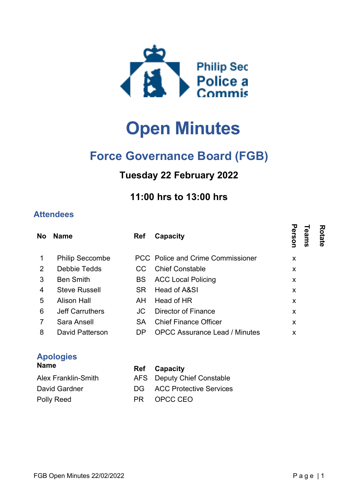

# Open Minutes

## Force Governance Board (FGB)

### Tuesday 22 February 2022

#### 11:00 hrs to 13:00 hrs

#### **Attendees**

| <b>No</b>      | <b>Name</b>            | <b>Ref</b> | Capacity                             | ᠊ᢦ<br>Rotate<br>erson<br>eams |  |
|----------------|------------------------|------------|--------------------------------------|-------------------------------|--|
| 1              | <b>Philip Seccombe</b> |            | PCC Police and Crime Commissioner    | X                             |  |
| 2              | Debbie Tedds           | CC.        | <b>Chief Constable</b>               | X                             |  |
| 3              | <b>Ben Smith</b>       | <b>BS</b>  | <b>ACC Local Policing</b>            | X                             |  |
| 4              | <b>Steve Russell</b>   | SR.        | Head of A&SI                         | X                             |  |
| 5              | <b>Alison Hall</b>     | AH.        | Head of HR                           | X                             |  |
| 6              | <b>Jeff Carruthers</b> | JC         | <b>Director of Finance</b>           | X                             |  |
| $\overline{7}$ | Sara Ansell            | <b>SA</b>  | <b>Chief Finance Officer</b>         | X                             |  |
| 8              | David Patterson        | DP.        | <b>OPCC Assurance Lead / Minutes</b> | X                             |  |
|                |                        |            |                                      |                               |  |

#### Apologies

| <b>Name</b>         | <b>Ref</b> Capacity               |
|---------------------|-----------------------------------|
| Alex Franklin-Smith | AFS Deputy Chief Constable        |
| David Gardner       | <b>DG</b> ACC Protective Services |
| Polly Reed          | PR OPCC CEO                       |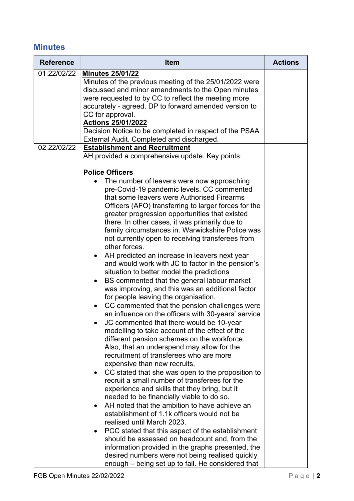#### **Minutes**

| <b>Reference</b> | <b>Item</b>                                                                                                                                                                                                                                                                                                                                                                                              | <b>Actions</b> |
|------------------|----------------------------------------------------------------------------------------------------------------------------------------------------------------------------------------------------------------------------------------------------------------------------------------------------------------------------------------------------------------------------------------------------------|----------------|
| 01.22/02/22      | <b>Minutes 25/01/22</b><br>Minutes of the previous meeting of the 25/01/2022 were<br>discussed and minor amendments to the Open minutes<br>were requested to by CC to reflect the meeting more<br>accurately - agreed. DP to forward amended version to<br>CC for approval.<br>Actions 25/01/2022<br>Decision Notice to be completed in respect of the PSAA<br>External Audit. Completed and discharged. |                |
| 02.22/02/22      | <b>Establishment and Recruitment</b>                                                                                                                                                                                                                                                                                                                                                                     |                |
|                  | AH provided a comprehensive update. Key points:<br><b>Police Officers</b><br>The number of leavers were now approaching                                                                                                                                                                                                                                                                                  |                |
|                  | pre-Covid-19 pandemic levels. CC commented<br>that some leavers were Authorised Firearms<br>Officers (AFO) transferring to larger forces for the<br>greater progression opportunities that existed<br>there. In other cases, it was primarily due to<br>family circumstances in. Warwickshire Police was<br>not currently open to receiving transferees from<br>other forces.                            |                |
|                  | AH predicted an increase in leavers next year<br>and would work with JC to factor in the pension's<br>situation to better model the predictions<br>BS commented that the general labour market<br>was improving, and this was an additional factor<br>for people leaving the organisation.                                                                                                               |                |
|                  | CC commented that the pension challenges were<br>an influence on the officers with 30-years' service<br>JC commented that there would be 10-year<br>modelling to take account of the effect of the<br>different pension schemes on the workforce.<br>Also, that an underspend may allow for the<br>recruitment of transferees who are more<br>expensive than new recruits,                               |                |
|                  | CC stated that she was open to the proposition to<br>recruit a small number of transferees for the<br>experience and skills that they bring, but it<br>needed to be financially viable to do so.<br>AH noted that the ambition to have achieve an<br>establishment of 1.1k officers would not be<br>realised until March 2023.                                                                           |                |
|                  | PCC stated that this aspect of the establishment<br>should be assessed on headcount and, from the<br>information provided in the graphs presented, the<br>desired numbers were not being realised quickly<br>enough – being set up to fail. He considered that                                                                                                                                           |                |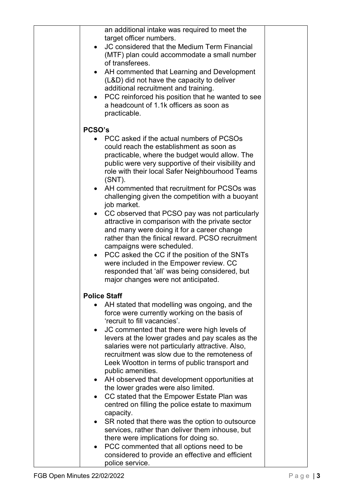| an additional intake was required to meet the<br>target officer numbers.<br>JC considered that the Medium Term Financial<br>(MTF) plan could accommodate a small number<br>of transferees.<br>• AH commented that Learning and Development<br>(L&D) did not have the capacity to deliver<br>additional recruitment and training.<br>PCC reinforced his position that he wanted to see<br>$\bullet$<br>a headcount of 1.1k officers as soon as<br>practicable.                                                                                                                                                                                                                                                                                                                                                                                                                                                                                             |  |
|-----------------------------------------------------------------------------------------------------------------------------------------------------------------------------------------------------------------------------------------------------------------------------------------------------------------------------------------------------------------------------------------------------------------------------------------------------------------------------------------------------------------------------------------------------------------------------------------------------------------------------------------------------------------------------------------------------------------------------------------------------------------------------------------------------------------------------------------------------------------------------------------------------------------------------------------------------------|--|
| PCSO's                                                                                                                                                                                                                                                                                                                                                                                                                                                                                                                                                                                                                                                                                                                                                                                                                                                                                                                                                    |  |
| PCC asked if the actual numbers of PCSOs<br>could reach the establishment as soon as<br>practicable, where the budget would allow. The<br>public were very supportive of their visibility and<br>role with their local Safer Neighbourhood Teams<br>$(SNT)$ .<br>AH commented that recruitment for PCSOs was<br>$\bullet$<br>challenging given the competition with a buoyant<br>job market.<br>• CC observed that PCSO pay was not particularly<br>attractive in comparison with the private sector<br>and many were doing it for a career change<br>rather than the finical reward. PCSO recruitment<br>campaigns were scheduled.<br>PCC asked the CC if the position of the SNTs<br>$\bullet$<br>were included in the Empower review. CC<br>responded that 'all' was being considered, but<br>major changes were not anticipated.                                                                                                                      |  |
|                                                                                                                                                                                                                                                                                                                                                                                                                                                                                                                                                                                                                                                                                                                                                                                                                                                                                                                                                           |  |
| <b>Police Staff</b><br>AH stated that modelling was ongoing, and the<br>force were currently working on the basis of<br>'recruit to fill vacancies'.<br>JC commented that there were high levels of<br>$\bullet$<br>levers at the lower grades and pay scales as the<br>salaries were not particularly attractive. Also,<br>recruitment was slow due to the remoteness of<br>Leek Wootton in terms of public transport and<br>public amenities.<br>AH observed that development opportunities at<br>$\bullet$<br>the lower grades were also limited.<br>CC stated that the Empower Estate Plan was<br>$\bullet$<br>centred on filling the police estate to maximum<br>capacity.<br>SR noted that there was the option to outsource<br>$\bullet$<br>services, rather than deliver them inhouse, but<br>there were implications for doing so.<br>PCC commented that all options need to be<br>$\bullet$<br>considered to provide an effective and efficient |  |
| police service.                                                                                                                                                                                                                                                                                                                                                                                                                                                                                                                                                                                                                                                                                                                                                                                                                                                                                                                                           |  |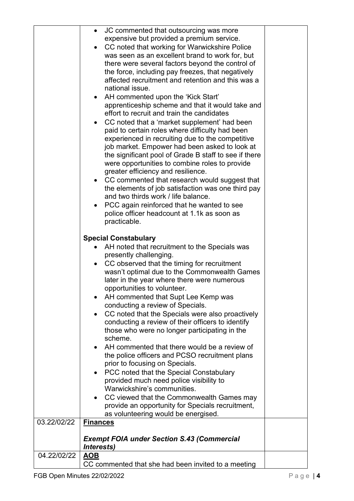|             | JC commented that outsourcing was more<br>$\bullet$                                                              |
|-------------|------------------------------------------------------------------------------------------------------------------|
|             | expensive but provided a premium service.                                                                        |
|             | CC noted that working for Warwickshire Police<br>was seen as an excellent brand to work for, but                 |
|             | there were several factors beyond the control of                                                                 |
|             | the force, including pay freezes, that negatively                                                                |
|             | affected recruitment and retention and this was a                                                                |
|             | national issue.                                                                                                  |
|             | AH commented upon the 'Kick Start'                                                                               |
|             | apprenticeship scheme and that it would take and                                                                 |
|             | effort to recruit and train the candidates                                                                       |
|             | CC noted that a 'market supplement' had been<br>paid to certain roles where difficulty had been                  |
|             | experienced in recruiting due to the competitive                                                                 |
|             | job market. Empower had been asked to look at                                                                    |
|             | the significant pool of Grade B staff to see if there                                                            |
|             | were opportunities to combine roles to provide                                                                   |
|             | greater efficiency and resilience.                                                                               |
|             | CC commented that research would suggest that<br>$\bullet$<br>the elements of job satisfaction was one third pay |
|             | and two thirds work / life balance.                                                                              |
|             | PCC again reinforced that he wanted to see<br>$\bullet$                                                          |
|             | police officer headcount at 1.1k as soon as                                                                      |
|             | practicable.                                                                                                     |
|             |                                                                                                                  |
|             | <b>Special Constabulary</b><br>AH noted that recruitment to the Specials was                                     |
|             | presently challenging.                                                                                           |
|             | CC observed that the timing for recruitment                                                                      |
|             | wasn't optimal due to the Commonwealth Games                                                                     |
|             | later in the year where there were numerous                                                                      |
|             | opportunities to volunteer.                                                                                      |
|             | AH commented that Supt Lee Kemp was<br>conducting a review of Specials.                                          |
|             | CC noted that the Specials were also proactively                                                                 |
|             | conducting a review of their officers to identify                                                                |
|             | those who were no longer participating in the                                                                    |
|             | scheme.                                                                                                          |
|             | AH commented that there would be a review of                                                                     |
|             | the police officers and PCSO recruitment plans<br>prior to focusing on Specials.                                 |
|             | PCC noted that the Special Constabulary                                                                          |
|             | provided much need police visibility to                                                                          |
|             | Warwickshire's communities.                                                                                      |
|             | CC viewed that the Commonwealth Games may                                                                        |
|             | provide an opportunity for Specials recruitment,                                                                 |
| 03.22/02/22 | as volunteering would be energised.<br><b>Finances</b>                                                           |
|             |                                                                                                                  |
|             | <b>Exempt FOIA under Section S.43 (Commercial</b>                                                                |
|             | Interests)                                                                                                       |
| 04.22/02/22 | <u>AOB</u>                                                                                                       |
|             | CC commented that she had been invited to a meeting                                                              |